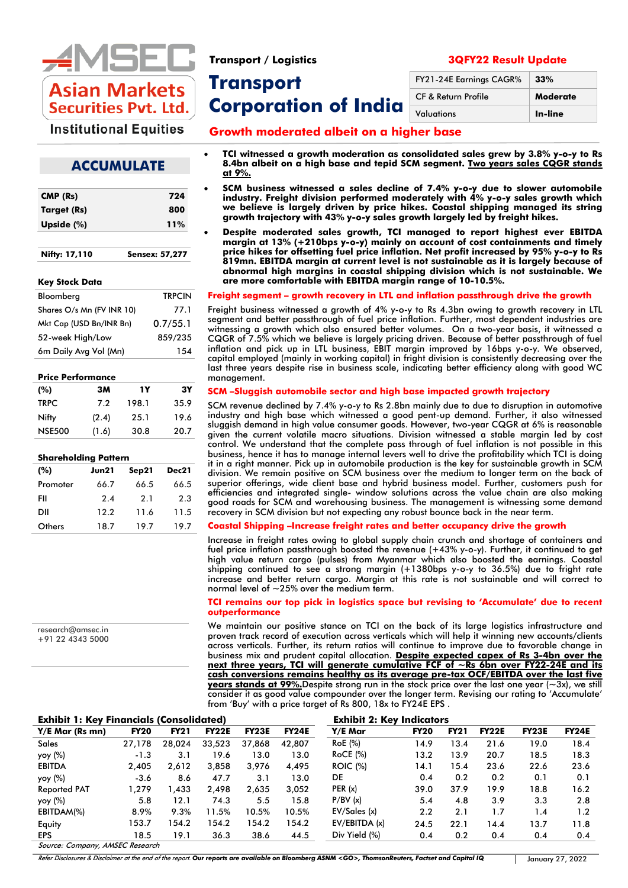

**Transport Corporation of India** 

**Growth moderated albeit on a higher base**

# **Institutional Equities**

• **TCI witnessed a growth moderation as consolidated sales grew by 3.8% y-o-y to Rs** 

# **ACCUMULATE**

| CMP (Rs)      | 724                   |
|---------------|-----------------------|
| Target (Rs)   | 800                   |
| Upside $(\%)$ | 11%                   |
| Nifty: 17,110 | <b>Sensex: 57,277</b> |

#### **Key Stock Data**

| Bloomberg                 | <b>TRPCIN</b> |
|---------------------------|---------------|
| Shares O/s Mn (FV INR 10) | 77.1          |
| Mkt Cap (USD Bn/INR Bn)   | 0.7/55.1      |
| 52-week High/Low          | 859/235       |
| 6m Daily Avg Vol (Mn)     | 154           |

#### **Price Performance**

| (%)           | зм    | 1Y    | 3Υ   |
|---------------|-------|-------|------|
| <b>TRPC</b>   | 7.2   | 198.1 | 35.9 |
| Nifty         | (2.4) | 25.1  | 19.6 |
| <b>NSE500</b> | (1.6) | 30.8  | 20.7 |

| <b>Shareholding Pattern</b> |       |       |       |  |  |  |  |  |  |  |
|-----------------------------|-------|-------|-------|--|--|--|--|--|--|--|
| (%)                         | Jun21 | Sep21 | Dec21 |  |  |  |  |  |  |  |
| Promoter                    | 66.7  | 66.5  | 66.5  |  |  |  |  |  |  |  |
| FII                         | 2.4   | 2.1   | 2.3   |  |  |  |  |  |  |  |
| DII                         | 12.2  | 11.6  | 11.5  |  |  |  |  |  |  |  |
| Others                      | 18.7  | 19.7  | 19.7  |  |  |  |  |  |  |  |

research@amsec.in +91 22 4343 5000 **8.4bn albeit on a high base and tepid SCM segment. Two years sales CQGR stands at 9%.**

• **SCM business witnessed a sales decline of 7.4% y-o-y due to slower automobile industry. Freight division performed moderately with 4% y-o-y sales growth which we believe is largely driven by price hikes. Coastal shipping managed its string growth trajectory with 43% y-o-y sales growth largely led by freight hikes.**

• **Despite moderated sales growth, TCI managed to report highest ever EBITDA margin at 13% (+210bps y-o-y) mainly on account of cost containments and timely price hikes for offsetting fuel price inflation. Net profit increased by 95% y-o-y to Rs 819mn. EBITDA margin at current level is not sustainable as it is largely because of abnormal high margins in coastal shipping division which is not sustainable. We are more comfortable with EBITDA margin range of 10-10.5%.**

#### **Freight segment – growth recovery in LTL and inflation passthrough drive the growth**

Freight business witnessed a growth of 4% y-o-y to Rs 4.3bn owing to growth recovery in LTL segment and better passthrough of fuel price inflation. Further, most dependent industries are witnessing a growth which also ensured better volumes. On a two-year basis, it witnessed a CQGR of 7.5% which we believe is largely pricing driven. Because of better passthrough of fuel inflation and pick up in LTL business, EBIT margin improved by 16bps y-o-y. We observed, capital employed (mainly in working capital) in fright division is consistently decreasing over the last three years despite rise in business scale, indicating better efficiency along with good WC management.

#### **SCM –Sluggish automobile sector and high base impacted growth trajectory**

SCM revenue declined by 7.4% y-o-y to Rs 2.8bn mainly due to due to disruption in automotive industry and high base which witnessed a good pent-up demand. Further, it also witnessed sluggish demand in high value consumer goods. However, two-year CQGR at 6% is reasonable given the current volatile macro situations. Division witnessed a stable margin led by cost control. We understand that the complete pass through of fuel inflation is not possible in this business, hence it has to manage internal levers well to drive the profitability which TCI is doing it in a right manner. Pick up in automobile production is the key for sustainable growth in SCM division. We remain positive on SCM business over the medium to longer term on the back of superior offerings, wide client base and hybrid business model. Further, customers push for efficiencies and integrated single- window solutions across the value chain are also making good roads for SCM and warehousing business. The management is witnessing some demand recovery in SCM division but not expecting any robust bounce back in the near term.

#### **Coastal Shipping –Increase freight rates and better occupancy drive the growth**

Increase in freight rates owing to global supply chain crunch and shortage of containers and fuel price inflation passthrough boosted the revenue (+43% y-o-y). Further, it continued to get high value return cargo (pulses) from Myanmar which also boosted the earnings. Coastal shipping continued to see a strong margin (+1380bps y-o-y to 36.5%) due to fright rate increase and better return cargo. Margin at this rate is not sustainable and will correct to normal level of  $\sim$  25% over the medium term.

#### **TCI remains our top pick in logistics space but revising to 'Accumulate' due to recent outperformance**

We maintain our positive stance on TCI on the back of its large logistics infrastructure and proven track record of execution across verticals which will help it winning new accounts/clients across verticals. Further, its return ratios will continue to improve due to favorable change in business mix and prudent capital allocation. **Despite expected capex of Rs 3-4bn over the next three years, TCI will generate cumulative FCF of ~Rs 6bn over FY22-24E and its cash conversions remains healthy as its average pre-tax OCF/EBITDA over the last five years stands at 99%.**Despite strong run in the stock price over the last one year (~3x), we still consider it as good value compounder over the longer term. Revising our rating to 'Accumulate' from 'Buy' with a price target of Rs 800, 18x to FY24E EPS .

| <b>Exhibit 1: Key Financials (Consolidated</b> |
|------------------------------------------------|
|------------------------------------------------|

| <b>Exhibit 1: Key Financials (Consolidated)</b> |                        |             |              |              |              | <b>Exhibit 2: Key Indicators</b> |             |             |              |              |              |
|-------------------------------------------------|------------------------|-------------|--------------|--------------|--------------|----------------------------------|-------------|-------------|--------------|--------------|--------------|
| Y/E Mar (Rs mn)                                 | <b>FY20</b>            | <b>FY21</b> | <b>FY22E</b> | <b>FY23E</b> | <b>FY24E</b> | Y/E Mar                          | <b>FY20</b> | <b>FY21</b> | <b>FY22E</b> | <b>FY23E</b> | <b>FY24E</b> |
| <b>Sales</b>                                    | 27.178                 | 28.024      | 33.523       | 37.868       | 42.807       | <b>RoE</b> (%)                   | 14.9        | 13.4        | 21.6         | 19.0         | 18.4         |
| yoy (%)                                         | $-1.3$                 | 3.1         | 19.6         | 13.0         | 13.0         | $RoCE$ (%)                       | 13.2        | 13.9        | 20.7         | 18.5         | 18.3         |
| <b>EBITDA</b>                                   | 2,405                  | 2,612       | 3,858        | 3,976        | 4,495        | <b>ROIC</b> (%)                  | 14.1        | 15.4        | 23.6         | 22.6         | 23.6         |
| yoy (%)                                         | $-3.6$                 | 8.6         | 47.7         | 3.1          | 13.0         | DE                               | 0.4         | 0.2         | 0.2          | 0.1          | 0.1          |
| <b>Reported PAT</b>                             | 1.279                  | 1.433       | 2.498        | 2.635        | 3.052        | PER(x)                           | 39.0        | 37.9        | 19.9         | 18.8         | 16.2         |
| yoy (%)                                         | 5.8                    | 12.1        | 74.3         | 5.5          | 15.8         | P/BV(x)                          | 5.4         | 4.8         | 3.9          | 3.3          | 2.8          |
| EBITDAM(%)                                      | 8.9%                   | 9.3%        | 11.5%        | 10.5%        | 10.5%        | EV/Sales(x)                      | 2.2         | 2.1         | 1.7          | 1.4          | 1.2          |
| Equity                                          | 153.7                  | 154.2       | 154.2        | 154.2        | 154.2        | EV/EBITDA (x)                    | 24.5        | 22.1        | 14.4         | 13.7         | 11.8         |
| <b>EPS</b>                                      | 18.5                   | 19.1        | 36.3         | 38.6         | 44.5         | Div Yield (%)                    | 0.4         | 0.2         | 0.4          | 0.4          | 0.4          |
| $\sim$<br>$\rightarrow$                         | $\overline{111000000}$ |             |              |              |              |                                  |             |             |              |              |              |

ource: Company, AMSEC Research

Refer Disclosures & Disclaimer at the end of the report. *Our reports are available on Bloomberg ASNM <GO>, ThomsonReuters, Factset and Capital IQ* January 27, 2022

## **Transport / Logistics 3QFY22 Result Update**

| FY21-24E Earnings CAGR%        | 33%             |
|--------------------------------|-----------------|
| <b>CF &amp; Return Profile</b> | <b>Moderate</b> |
| Valuations                     | In-line         |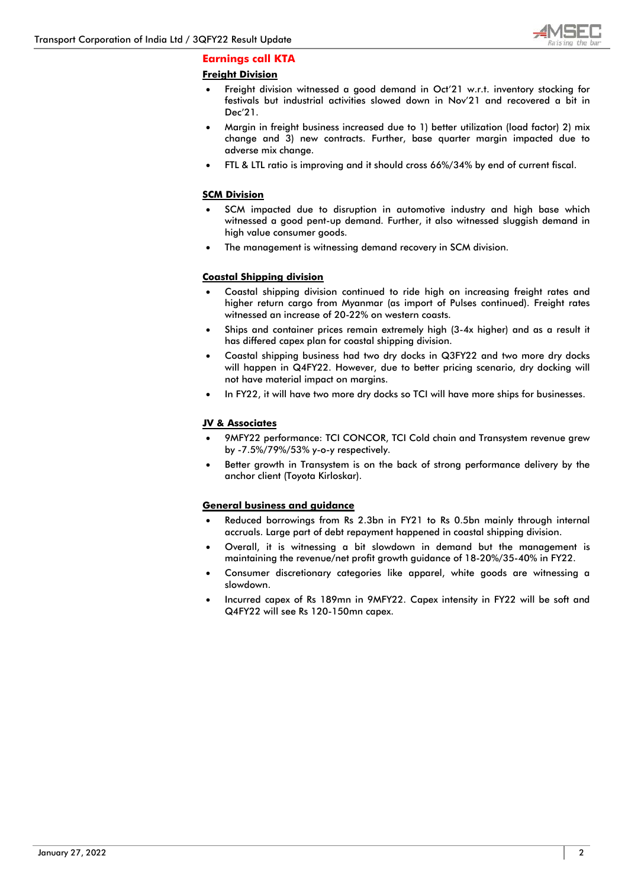

# **Earnings call KTA**

# **Freight Division**

- Freight division witnessed a good demand in Oct'21 w.r.t. inventory stocking for festivals but industrial activities slowed down in Nov'21 and recovered a bit in Dec'21.
- Margin in freight business increased due to 1) better utilization (load factor) 2) mix change and 3) new contracts. Further, base quarter margin impacted due to adverse mix change.
- FTL & LTL ratio is improving and it should cross 66%/34% by end of current fiscal.

#### **SCM Division**

- SCM impacted due to disruption in automotive industry and high base which witnessed a good pent-up demand. Further, it also witnessed sluggish demand in high value consumer goods.
- The management is witnessing demand recovery in SCM division.

# **Coastal Shipping division**

- Coastal shipping division continued to ride high on increasing freight rates and higher return cargo from Myanmar (as import of Pulses continued). Freight rates witnessed an increase of 20-22% on western coasts.
- Ships and container prices remain extremely high (3-4x higher) and as a result it has differed capex plan for coastal shipping division.
- Coastal shipping business had two dry docks in Q3FY22 and two more dry docks will happen in Q4FY22. However, due to better pricing scenario, dry docking will not have material impact on margins.
- In FY22, it will have two more dry docks so TCI will have more ships for businesses.

# **JV & Associates**

- 9MFY22 performance: TCI CONCOR, TCI Cold chain and Transystem revenue grew by -7.5%/79%/53% y-o-y respectively.
- Better growth in Transystem is on the back of strong performance delivery by the anchor client (Toyota Kirloskar).

#### **General business and guidance**

- Reduced borrowings from Rs 2.3bn in FY21 to Rs 0.5bn mainly through internal accruals. Large part of debt repayment happened in coastal shipping division.
- Overall, it is witnessing a bit slowdown in demand but the management is maintaining the revenue/net profit growth guidance of 18-20%/35-40% in FY22.
- Consumer discretionary categories like apparel, white goods are witnessing a slowdown.
- Incurred capex of Rs 189mn in 9MFY22. Capex intensity in FY22 will be soft and Q4FY22 will see Rs 120-150mn capex.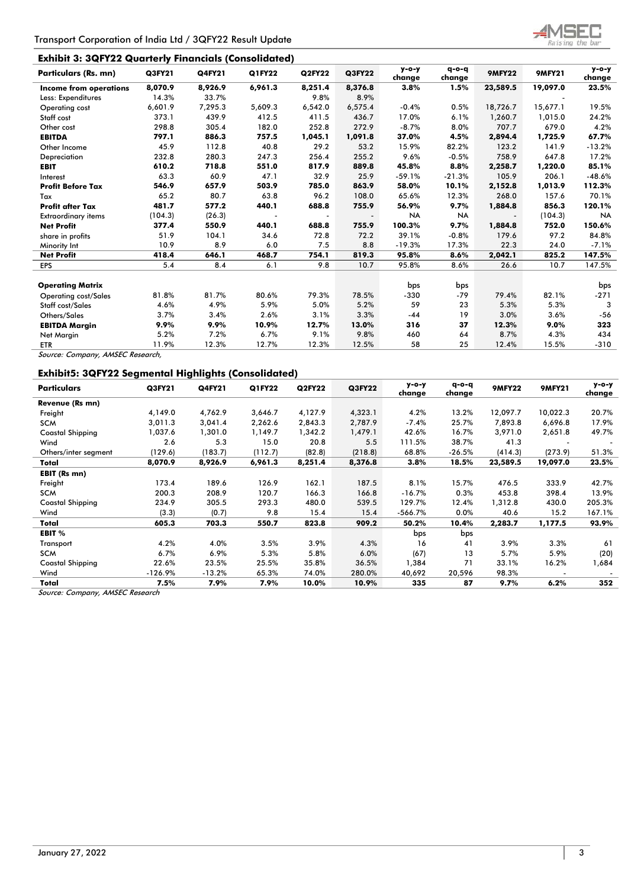# **Exhibit 3: 3QFY22 Quarterly Financials (Consolidated)**

| <b>Particulars (Rs. mn)</b>      | Q3FY21  | <b>Q4FY21</b> | Q1FY22  | <b>Q2FY22</b> | <b>Q3FY22</b> | $y - o - y$<br>change | $q - o - q$<br>change | <b>9MFY22</b> | <b>9MFY21</b> | $y - o - y$<br>change |
|----------------------------------|---------|---------------|---------|---------------|---------------|-----------------------|-----------------------|---------------|---------------|-----------------------|
| <b>Income from operations</b>    | 8,070.9 | 8,926.9       | 6,961.3 | 8,251.4       | 8,376.8       | 3.8%                  | 1.5%                  | 23,589.5      | 19,097.0      | 23.5%                 |
| Less: Expenditures               | 14.3%   | 33.7%         |         | 9.8%          | 8.9%          |                       |                       |               |               |                       |
| <b>Operating cost</b>            | 6,601.9 | 7,295.3       | 5,609.3 | 6,542.0       | 6,575.4       | $-0.4%$               | 0.5%                  | 18,726.7      | 15,677.1      | 19.5%                 |
| Staff cost                       | 373.1   | 439.9         | 412.5   | 411.5         | 436.7         | 17.0%                 | 6.1%                  | 1,260.7       | 1,015.0       | 24.2%                 |
| Other cost                       | 298.8   | 305.4         | 182.0   | 252.8         | 272.9         | $-8.7%$               | 8.0%                  | 707.7         | 679.0         | 4.2%                  |
| <b>EBITDA</b>                    | 797.1   | 886.3         | 757.5   | 1,045.1       | 1,091.8       | 37.0%                 | 4.5%                  | 2,894.4       | 1,725.9       | 67.7%                 |
| Other Income                     | 45.9    | 112.8         | 40.8    | 29.2          | 53.2          | 15.9%                 | 82.2%                 | 123.2         | 141.9         | $-13.2%$              |
| Depreciation                     | 232.8   | 280.3         | 247.3   | 256.4         | 255.2         | 9.6%                  | $-0.5%$               | 758.9         | 647.8         | 17.2%                 |
| <b>EBIT</b>                      | 610.2   | 718.8         | 551.0   | 817.9         | 889.8         | 45.8%                 | 8.8%                  | 2,258.7       | 1,220.0       | 85.1%                 |
| Interest                         | 63.3    | 60.9          | 47.1    | 32.9          | 25.9          | $-59.1%$              | $-21.3%$              | 105.9         | 206.1         | $-48.6%$              |
| <b>Profit Before Tax</b>         | 546.9   | 657.9         | 503.9   | 785.0         | 863.9         | 58.0%                 | 10.1%                 | 2,152.8       | 1,013.9       | 112.3%                |
| Tax                              | 65.2    | 80.7          | 63.8    | 96.2          | 108.0         | 65.6%                 | 12.3%                 | 268.0         | 157.6         | 70.1%                 |
| <b>Profit after Tax</b>          | 481.7   | 577.2         | 440.1   | 688.8         | 755.9         | 56.9%                 | 9.7%                  | 1,884.8       | 856.3         | 120.1%                |
| <b>Extraordinary items</b>       | (104.3) | (26.3)        |         |               |               | <b>NA</b>             | <b>NA</b>             |               | (104.3)       | <b>NA</b>             |
| <b>Net Profit</b>                | 377.4   | 550.9         | 440.1   | 688.8         | 755.9         | 100.3%                | 9.7%                  | 1,884.8       | 752.0         | 150.6%                |
| share in profits                 | 51.9    | 104.1         | 34.6    | 72.8          | 72.2          | 39.1%                 | $-0.8%$               | 179.6         | 97.2          | 84.8%                 |
| Minority Int                     | 10.9    | 8.9           | 6.0     | 7.5           | 8.8           | $-19.3%$              | 17.3%                 | 22.3          | 24.0          | $-7.1%$               |
| <b>Net Profit</b>                | 418.4   | 646.1         | 468.7   | 754.1         | 819.3         | 95.8%                 | 8.6%                  | 2,042.1       | 825.2         | 147.5%                |
| <b>EPS</b>                       | 5.4     | 8.4           | 6.1     | 9.8           | 10.7          | 95.8%                 | 8.6%                  | 26.6          | 10.7          | 147.5%                |
| <b>Operating Matrix</b>          |         |               |         |               |               | bps                   | bps                   |               |               | bps                   |
| <b>Operating cost/Sales</b>      | 81.8%   | 81.7%         | 80.6%   | 79.3%         | 78.5%         | $-330$                | $-79$                 | 79.4%         | 82.1%         | $-271$                |
| Staff cost/Sales                 | 4.6%    | 4.9%          | 5.9%    | 5.0%          | 5.2%          | 59                    | 23                    | 5.3%          | 5.3%          | 3                     |
| Others/Sales                     | 3.7%    | 3.4%          | 2.6%    | 3.1%          | 3.3%          | $-44$                 | 19                    | 3.0%          | 3.6%          | $-56$                 |
| <b>EBITDA Margin</b>             | 9.9%    | 9.9%          | 10.9%   | 12.7%         | 13.0%         | 316                   | 37                    | 12.3%         | 9.0%          | 323                   |
| Net Margin                       | 5.2%    | 7.2%          | 6.7%    | 9.1%          | 9.8%          | 460                   | 64                    | 8.7%          | 4.3%          | 434                   |
| <b>ETR</b>                       | 11.9%   | 12.3%         | 12.7%   | 12.3%         | 12.5%         | 58                    | 25                    | 12.4%         | 15.5%         | $-310$                |
| Source: Company, AMSEC Research, |         |               |         |               |               |                       |                       |               |               |                       |

**Exhibit5: 3QFY22 Segmental Highlights (Consolidated)**

| <b>Particulars</b>      | Q3FY21    | <b>Q4FY21</b> | Q1FY22  | <b>Q2FY22</b> | Q3FY22  | у-о-у<br>change | $q - o - q$<br>change | <b>9MFY22</b> | <b>9MFY21</b> | $y$ -o-y<br>change |
|-------------------------|-----------|---------------|---------|---------------|---------|-----------------|-----------------------|---------------|---------------|--------------------|
| Revenue (Rs mn)         |           |               |         |               |         |                 |                       |               |               |                    |
| Freight                 | 4,149.0   | 4,762.9       | 3,646.7 | 4,127.9       | 4,323.1 | 4.2%            | 13.2%                 | 12,097.7      | 10,022.3      | 20.7%              |
| <b>SCM</b>              | 3,011.3   | 3,041.4       | 2,262.6 | 2,843.3       | 2,787.9 | $-7.4%$         | 25.7%                 | 7,893.8       | 6,696.8       | 17.9%              |
| <b>Coastal Shipping</b> | 1,037.6   | 1,301.0       | 1,149.7 | 1,342.2       | 1,479.1 | 42.6%           | 16.7%                 | 3,971.0       | 2,651.8       | 49.7%              |
| Wind                    | 2.6       | 5.3           | 15.0    | 20.8          | 5.5     | 111.5%          | 38.7%                 | 41.3          |               |                    |
| Others/inter segment    | (129.6)   | (183.7)       | (112.7) | (82.8)        | (218.8) | 68.8%           | $-26.5%$              | (414.3)       | (273.9)       | 51.3%              |
| Total                   | 8,070.9   | 8,926.9       | 6,961.3 | 8,251.4       | 8,376.8 | 3.8%            | 18.5%                 | 23,589.5      | 19,097.0      | 23.5%              |
| EBIT (Rs mn)            |           |               |         |               |         |                 |                       |               |               |                    |
| Freight                 | 173.4     | 189.6         | 126.9   | 162.1         | 187.5   | 8.1%            | 15.7%                 | 476.5         | 333.9         | 42.7%              |
| <b>SCM</b>              | 200.3     | 208.9         | 120.7   | 166.3         | 166.8   | $-16.7%$        | 0.3%                  | 453.8         | 398.4         | 13.9%              |
| <b>Coastal Shipping</b> | 234.9     | 305.5         | 293.3   | 480.0         | 539.5   | 129.7%          | 12.4%                 | 1,312.8       | 430.0         | 205.3%             |
| Wind                    | (3.3)     | (0.7)         | 9.8     | 15.4          | 15.4    | $-566.7%$       | 0.0%                  | 40.6          | 15.2          | 167.1%             |
| Total                   | 605.3     | 703.3         | 550.7   | 823.8         | 909.2   | 50.2%           | 10.4%                 | 2,283.7       | 1,177.5       | 93.9%              |
| EBIT %                  |           |               |         |               |         | bps             | bps                   |               |               |                    |
| Transport               | 4.2%      | 4.0%          | 3.5%    | 3.9%          | 4.3%    | 16              | 41                    | 3.9%          | 3.3%          | 61                 |
| <b>SCM</b>              | 6.7%      | 6.9%          | 5.3%    | 5.8%          | 6.0%    | (67)            | 13                    | 5.7%          | 5.9%          | (20)               |
| <b>Coastal Shipping</b> | 22.6%     | 23.5%         | 25.5%   | 35.8%         | 36.5%   | 1,384           | 71                    | 33.1%         | 16.2%         | 1,684              |
| Wind                    | $-126.9%$ | $-13.2%$      | 65.3%   | 74.0%         | 280.0%  | 40,692          | 20,596                | 98.3%         |               |                    |
| Total                   | 7.5%      | 7.9%          | 7.9%    | 10.0%         | 10.9%   | 335             | 87                    | 9.7%          | 6.2%          | 352                |

Source: Company, AMSEC Research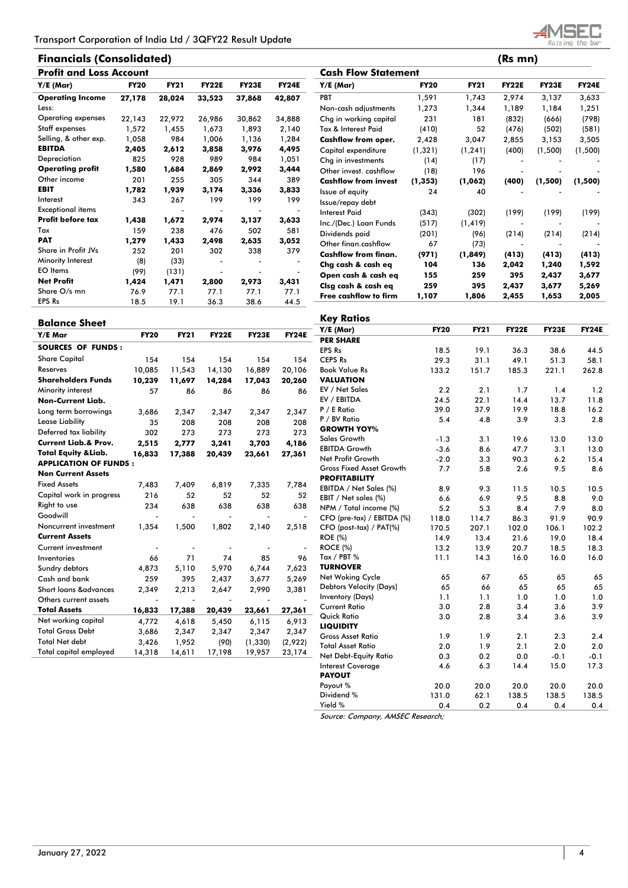# **Financials (Consolidated) (Rs mn)**



| <b>Profit and Loss Account</b> |             |             |              |              |              |  |  |  |  |  |  |
|--------------------------------|-------------|-------------|--------------|--------------|--------------|--|--|--|--|--|--|
| Y/E (Mar)                      | <b>FY20</b> | <b>FY21</b> | <b>FY22E</b> | <b>FY23E</b> | <b>FY24E</b> |  |  |  |  |  |  |
| <b>Operating Income</b>        | 27,178      | 28,024      | 33,523       | 37,868       | 42,807       |  |  |  |  |  |  |
| Less:                          |             |             |              |              |              |  |  |  |  |  |  |
| Operating expenses             | 22,143      | 22,972      | 26,986       | 30,862       | 34,888       |  |  |  |  |  |  |
| Staff expenses                 | 1,572       | 1.455       | 1,673        | 1,893        | 2,140        |  |  |  |  |  |  |
| Selling, & other exp.          | 1,058       | 984         | 1,006        | 1,136        | 1,284        |  |  |  |  |  |  |
| <b>EBITDA</b>                  | 2,405       | 2,612       | 3,858        | 3,976        | 4,495        |  |  |  |  |  |  |
| Depreciation                   | 825         | 928         | 989          | 984          | 1,051        |  |  |  |  |  |  |
| <b>Operating profit</b>        | 1,580       | 1,684       | 2,869        | 2,992        | 3,444        |  |  |  |  |  |  |
| Other income                   | 201         | 255         | 305          | 344          | 389          |  |  |  |  |  |  |
| <b>EBIT</b>                    | 1,782       | 1,939       | 3,174        | 3,336        | 3,833        |  |  |  |  |  |  |
| Interest                       | 343         | 267         | 199          | 199          | 199          |  |  |  |  |  |  |
| <b>Exceptional items</b>       |             |             |              |              |              |  |  |  |  |  |  |
| Profit before tax              | 1,438       | 1,672       | 2,974        | 3,137        | 3,633        |  |  |  |  |  |  |
| Tax                            | 159         | 238         | 476          | 502          | 581          |  |  |  |  |  |  |
| <b>PAT</b>                     | 1,279       | 1,433       | 2,498        | 2,635        | 3,052        |  |  |  |  |  |  |
| Share in Profit JVs            | 252         | 201         | 302          | 338          | 379          |  |  |  |  |  |  |
| Minority Interest              | (8)         | (33)        |              |              |              |  |  |  |  |  |  |
| <b>EO</b> Items                | (99)        | (131)       |              |              |              |  |  |  |  |  |  |
| <b>Net Profit</b>              | 1,424       | 1,471       | 2,800        | 2,973        | 3,431        |  |  |  |  |  |  |
| Share O/s mn                   | 76.9        | 77.1        | 77.1         | 77.1         | 77.1         |  |  |  |  |  |  |
| <b>EPS Rs</b>                  | 18.5        | 19.1        | 36.3         | 38.6         | 44.5         |  |  |  |  |  |  |

|                              |             |             | (65 11111)   |              |              |
|------------------------------|-------------|-------------|--------------|--------------|--------------|
| <b>Cash Flow Statement</b>   |             |             |              |              |              |
| Y/E (Mar)                    | <b>FY20</b> | <b>FY21</b> | <b>FY22E</b> | <b>FY23E</b> | <b>FY24E</b> |
| PBT                          | 1,591       | 1,743       | 2,974        | 3,137        | 3,633        |
| Non-cash adjustments         | 1,273       | 1,344       | 1,189        | 1,184        | 1,251        |
| Chg in working capital       | 231         | 181         | (832)        | (666)        | (798)        |
| Tax & Interest Paid          | (410)       | 52          | (476)        | (502)        | (581)        |
| Cashflow from oper.          | 2,428       | 3,047       | 2,855        | 3,153        | 3,505        |
| Capital expenditure          | (1, 321)    | (1, 241)    | (400)        | (1,500)      | (1,500)      |
| Chg in investments           | (14)        | (17)        |              |              |              |
| Other invest. cashflow       | (18)        | 196         |              |              |              |
| <b>Cashflow from invest</b>  | (1, 353)    | (1,062)     | (400)        | (1,500)      | (1,500)      |
| Issue of equity              | 24          | 40          |              |              |              |
| Issue/repay debt             |             |             |              |              |              |
| <b>Interest Paid</b>         | (343)       | (302)       | (199)        | (199)        | (199)        |
| Inc./(Dec.) Loan Funds       | (517)       | (1, 419)    |              |              |              |
| Dividends paid               | (201)       | (96)        | (214)        | (214)        | (214)        |
| Other finan.cashflow         | 67          | (73)        |              |              |              |
| <b>Cashflow from finan.</b>  | (971)       | (1,849)     | (413)        | (413)        | (413)        |
| Chg cash & cash eq           | 104         | 136         | 2,042        | 1,240        | 1,592        |
| Open cash & cash eq          | 155         | 259         | 395          | 2,437        | 3,677        |
| Clsg cash & cash eg          | 259         | 395         | 2,437        | 3,677        | 5,269        |
| <b>Free cashflow to firm</b> | 1,107       | 1,806       | 2,455        | 1,653        | 2,005        |

| <b>Balance Sheet</b>             |                          |                          |                          |                          |                          | <b>Key Ratios</b>                         |               |              |              |               |               |
|----------------------------------|--------------------------|--------------------------|--------------------------|--------------------------|--------------------------|-------------------------------------------|---------------|--------------|--------------|---------------|---------------|
| Y/E Mar                          | <b>FY20</b>              | <b>FY21</b>              | <b>FY22E</b>             | <b>FY23E</b>             | <b>FY24E</b>             | Y/E (Mar)                                 | <b>FY20</b>   | <b>FY21</b>  | <b>FY22E</b> | <b>FY23E</b>  | <b>FY24E</b>  |
|                                  |                          |                          |                          |                          |                          | <b>PER SHARE</b>                          |               |              |              |               |               |
| <b>SOURCES OF FUNDS:</b>         |                          |                          |                          |                          |                          | <b>EPS Rs</b>                             | 18.5          | 19.1         | 36.3         | 38.6          | 44.5          |
| <b>Share Capital</b>             | 154                      | 154                      | 154                      | 154                      | 154                      | <b>CEPS Rs</b>                            | 29.3          | 31.1         | 49.1         | 51.3          | 58.1          |
| Reserves                         | 10.085                   | 11,543                   | 14,130                   | 16.889                   | 20,106                   | <b>Book Value Rs</b>                      | 133.2         | 151.7        | 185.3        | 221.1         | 262.8         |
| <b>Shareholders Funds</b>        | 10,239                   | 11,697                   | 14,284                   | 17,043                   | 20,260                   | <b>VALUATION</b>                          |               |              |              |               |               |
| Minority interest                | 57                       | 86                       | 86                       | 86                       | 86                       | EV / Net Sales                            | 2.2           | 2.1          | 1.7          | 1.4           | 1.2           |
| <b>Non-Current Liab.</b>         |                          |                          |                          |                          |                          | EV / EBITDA                               | 24.5          | 22.1         | 14.4         | 13.7          | 11.8          |
| Long term borrowings             | 3,686                    | 2,347                    | 2,347                    | 2,347                    | 2,347                    | P / E Ratio                               | 39.0          | 37.9         | 19.9         | 18.8          | 16.2          |
| <b>Lease Liability</b>           | 35                       | 208                      | 208                      | 208                      | 208                      | P / BV Ratio                              | 5.4           | 4.8          | 3.9          | 3.3           | 2.8           |
| Deferred tax liability           | 302                      | 273                      | 273                      | 273                      | 273                      | <b>GROWTH YOY%</b>                        |               |              |              |               |               |
| <b>Current Liab.&amp; Prov.</b>  | 2,515                    | 2,777                    | 3,241                    | 3,703                    | 4,186                    | <b>Sales Growth</b>                       | $-1.3$        | 3.1          | 19.6         | 13.0          | 13.0          |
| <b>Total Equity &amp; Liab.</b>  | 16,833                   | 17,388                   | 20,439                   | 23,661                   | 27,361                   | <b>EBITDA Growth</b>                      | $-3.6$        | 8.6          | 47.7         | 3.1           | 13.0          |
| <b>APPLICATION OF FUNDS:</b>     |                          |                          |                          |                          |                          | Net Profit Growth                         | $-2.0$        | 3.3          | 90.3         | 6.2           | 15.4          |
| <b>Non Current Assets</b>        |                          |                          |                          |                          |                          | <b>Gross Fixed Asset Growth</b>           | 7.7           | 5.8          | 2.6          | 9.5           | 8.6           |
| <b>Fixed Assets</b>              | 7,483                    | 7.409                    | 6,819                    | 7,335                    | 7,784                    | <b>PROFITABILITY</b>                      |               |              |              |               |               |
| Capital work in progress         | 216                      | 52                       | 52                       | 52                       | 52                       | EBITDA / Net Sales (%)                    | 8.9           | 9.3          | 11.5         | 10.5          | 10.5          |
| Right to use                     | 234                      | 638                      | 638                      | 638                      | 638                      | EBIT / Net sales (%)                      | 6.6           | 6.9          | 9.5          | 8.8           | 9.0           |
| Goodwill                         |                          |                          |                          |                          | $\overline{\phantom{a}}$ | NPM / Total income (%)                    | 5.2           | 5.3          | 8.4          | 7.9           | 8.0           |
| Noncurrent investment            | 1,354                    | 1,500                    | 1,802                    | 2,140                    | 2,518                    | CFO (pre-tax) / EBITDA (%)                | 118.0         | 114.7        | 86.3         | 91.9          | 90.9          |
| <b>Current Assets</b>            |                          |                          |                          |                          |                          | CFO (post-tax) / PAT(%)<br><b>ROE</b> (%) | 170.5<br>14.9 | 207.1        | 102.0        | 106.1<br>19.0 | 102.2<br>18.4 |
| Current investment               |                          |                          |                          |                          |                          | <b>ROCE (%)</b>                           | 13.2          | 13.4<br>13.9 | 21.6<br>20.7 | 18.5          | 18.3          |
| Inventories                      | 66                       | 71                       | 74                       | 85                       | 96                       | Tax / PBT $%$                             | 11.1          | 14.3         | 16.0         | 16.0          | 16.0          |
|                                  |                          |                          |                          |                          |                          | <b>TURNOVER</b>                           |               |              |              |               |               |
| Sundry debtors<br>Cash and bank  | 4,873<br>259             | 5,110<br>395             | 5,970<br>2,437           | 6,744<br>3,677           | 7,623<br>5,269           | Net Woking Cycle                          | 65            | 67           | 65           | 65            | 65            |
| <b>Short loans &amp;advances</b> |                          |                          |                          |                          |                          | <b>Debtors Velocity (Days)</b>            | 65            | 66           | 65           | 65            | 65            |
|                                  | 2,349                    | 2,213                    | 2,647                    | 2,990                    | 3,381                    | <b>Inventory (Days)</b>                   | 1.1           | 1.1          | 1.0          | 1.0           | 1.0           |
| Others current assets            | $\overline{\phantom{a}}$ | $\overline{\phantom{a}}$ | $\overline{\phantom{0}}$ | $\overline{\phantom{0}}$ |                          | <b>Current Ratio</b>                      | 3.0           | 2.8          | 3.4          | 3.6           | 3.9           |
| <b>Total Assets</b>              | 16,833                   | 17,388                   | 20,439                   | 23,661                   | 27,361                   | Quick Ratio                               | 3.0           | 2.8          | 3.4          | 3.6           | 3.9           |
| Net working capital              | 4,772                    | 4,618                    | 5,450                    | 6,115                    | 6,913                    | <b>LIQUIDITY</b>                          |               |              |              |               |               |
| <b>Total Gross Debt</b>          | 3,686                    | 2,347                    | 2,347                    | 2,347                    | 2,347                    | <b>Gross Asset Ratio</b>                  | 1.9           | 1.9          | 2.1          | 2.3           | 2.4           |
| <b>Total Net debt</b>            | 3,426                    | 1,952                    | (90)                     | (1, 330)                 | (2,922)                  | <b>Total Asset Ratio</b>                  | 2.0           | 1.9          | 2.1          | 2.0           | 2.0           |
| <b>Total capital employed</b>    | 14,318                   | 14,611                   | 17,198                   | 19,957                   | 23,174                   | Net Debt-Equity Ratio                     | 0.3           | 0.2          | 0.0          | $-0.1$        | $-0.1$        |

Dividend % 131.0 62.1 138.5 138.5 138.5 Yield % 0.4 0.2 0.4 0.4 0.4 Source: Company, AMSEC Research;

**PAYOUT**

Interest Coverage 4.6 6.3 14.4 15.0 17.3

Payout % 20.0 20.0 20.0 20.0 20.0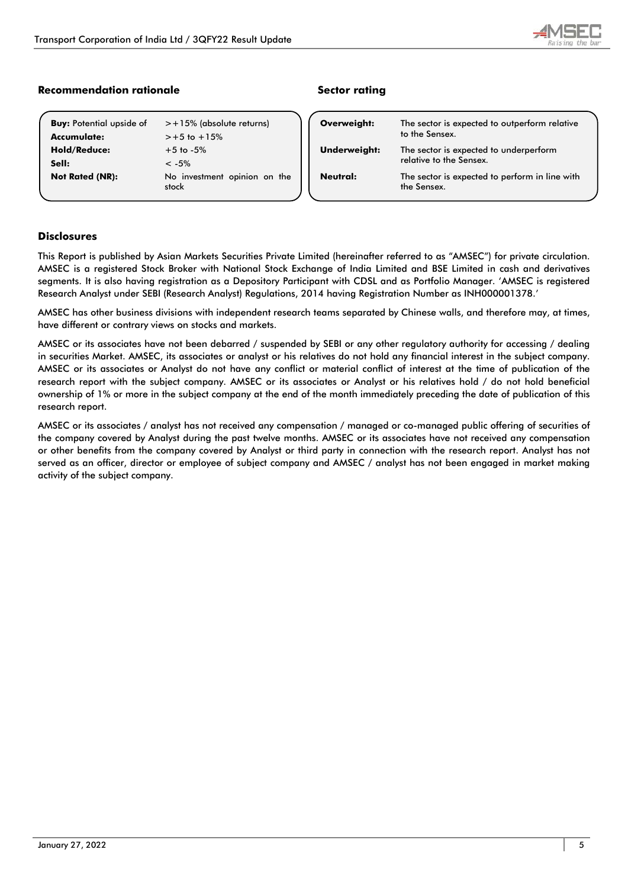

# **Recommendation rationale and Sector rating Recommendation rationale**

| <b>Buy: Potential upside of</b> | $> +15\%$ (absolute returns)          |
|---------------------------------|---------------------------------------|
| Accumulate:                     | $> +5$ to $+15%$                      |
| <b>Hold/Reduce:</b>             | $+5$ to $-5%$                         |
| Sell:                           | $\leq -5\%$                           |
| <b>Not Rated (NR):</b>          | No investment opinion on the<br>stock |

| The sector is expected to outperform relative<br>to the Sensex.                   |
|-----------------------------------------------------------------------------------|
| Underweight:<br>The sector is expected to underperform<br>relative to the Sensex. |
| The sector is expected to perform in line with<br>the Sensex.                     |
|                                                                                   |

# **Disclosures**

This Report is published by Asian Markets Securities Private Limited (hereinafter referred to as "AMSEC") for private circulation. AMSEC is a registered Stock Broker with National Stock Exchange of India Limited and BSE Limited in cash and derivatives segments. It is also having registration as a Depository Participant with CDSL and as Portfolio Manager. 'AMSEC is registered Research Analyst under SEBI (Research Analyst) Regulations, 2014 having Registration Number as INH000001378.'

AMSEC has other business divisions with independent research teams separated by Chinese walls, and therefore may, at times, have different or contrary views on stocks and markets.

AMSEC or its associates have not been debarred / suspended by SEBI or any other regulatory authority for accessing / dealing in securities Market. AMSEC, its associates or analyst or his relatives do not hold any financial interest in the subject company. AMSEC or its associates or Analyst do not have any conflict or material conflict of interest at the time of publication of the research report with the subject company. AMSEC or its associates or Analyst or his relatives hold / do not hold beneficial ownership of 1% or more in the subject company at the end of the month immediately preceding the date of publication of this research report.

AMSEC or its associates / analyst has not received any compensation / managed or co-managed public offering of securities of the company covered by Analyst during the past twelve months. AMSEC or its associates have not received any compensation or other benefits from the company covered by Analyst or third party in connection with the research report. Analyst has not served as an officer, director or employee of subject company and AMSEC / analyst has not been engaged in market making activity of the subject company.